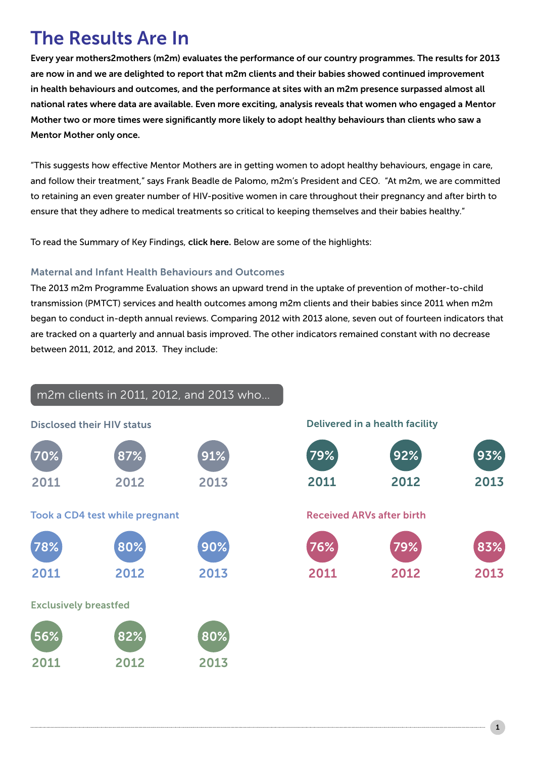# The Results Are In

Every year mothers2mothers (m2m) evaluates the performance of our country programmes. The results for 2013 are now in and we are delighted to report that m2m clients and their babies showed continued improvement in health behaviours and outcomes, and the performance at sites with an m2m presence surpassed almost all national rates where data are available. Even more exciting, analysis reveals that women who engaged a Mentor Mother two or more times were significantly more likely to adopt healthy behaviours than clients who saw a Mentor Mother only once.

"This suggests how effective Mentor Mothers are in getting women to adopt healthy behaviours, engage in care, and follow their treatment," says Frank Beadle de Palomo, m2m's President and CEO. "At m2m, we are committed to retaining an even greater number of HIV-positive women in care throughout their pregnancy and after birth to ensure that they adhere to medical treatments so critical to keeping themselves and their babies healthy."

To read the Summary of Key Findings, [click here.](http://www.m2m.org/wp-content/uploads/2014/10/2013ProgrammeEvaluation.pdf) Below are some of the highlights:

## Maternal and Infant Health Behaviours and Outcomes

The 2013 m2m Programme Evaluation shows an upward trend in the uptake of prevention of mother-to-child transmission (PMTCT) services and health outcomes among m2m clients and their babies since 2011 when m2m began to conduct in-depth annual reviews. Comparing 2012 with 2013 alone, seven out of fourteen indicators that are tracked on a quarterly and annual basis improved. The other indicators remained constant with no decrease between 2011, 2012, and 2013. They include:

## m2m clients in 2011, 2012, and 2013 who…

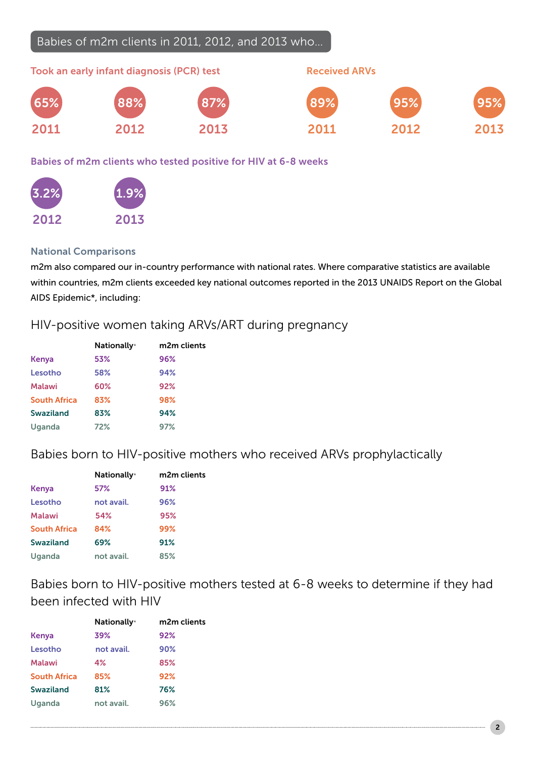# Babies of m2m clients in 2011, 2012, and 2013 who…



## Babies of m2m clients who tested positive for HIV at 6-8 weeks



## National Comparisons

m2m also compared our in-country performance with national rates. Where comparative statistics are available within countries, m2m clients exceeded key national outcomes reported in the 2013 UNAIDS Report on the Global AIDS Epidemic\*, including:

# HIV-positive women taking ARVs/ART during pregnancy

|                     | <b>Nationally*</b> | m2m clients |
|---------------------|--------------------|-------------|
| Kenya               | 53%                | 96%         |
| Lesotho             | 58%                | 94%         |
| <b>Malawi</b>       | 60%                | 92%         |
| <b>South Africa</b> | 83%                | 98%         |
| <b>Swaziland</b>    | 83%                | 94%         |
| Uganda              | 72%                | 97%         |

# Babies born to HIV-positive mothers who received ARVs prophylactically

|                     | <b>Nationally*</b> | m2m clients |
|---------------------|--------------------|-------------|
| Kenya               | 57%                | 91%         |
| Lesotho             | not avail.         | 96%         |
| Malawi              | 54%                | 95%         |
| <b>South Africa</b> | 84%                | 99%         |
| <b>Swaziland</b>    | 69%                | 91%         |
| Uganda              | not avail.         | 85%         |

Babies born to HIV-positive mothers tested at 6-8 weeks to determine if they had been infected with HIV

|                     | <b>Nationally*</b> | m2m clients |
|---------------------|--------------------|-------------|
| Kenya               | 39%                | 92%         |
| Lesotho             | not avail.         | 90%         |
| <b>Malawi</b>       | 4%                 | 85%         |
| <b>South Africa</b> | 85%                | 92%         |
| <b>Swaziland</b>    | 81%                | 76%         |
| Uganda              | not avail.         | 96%         |